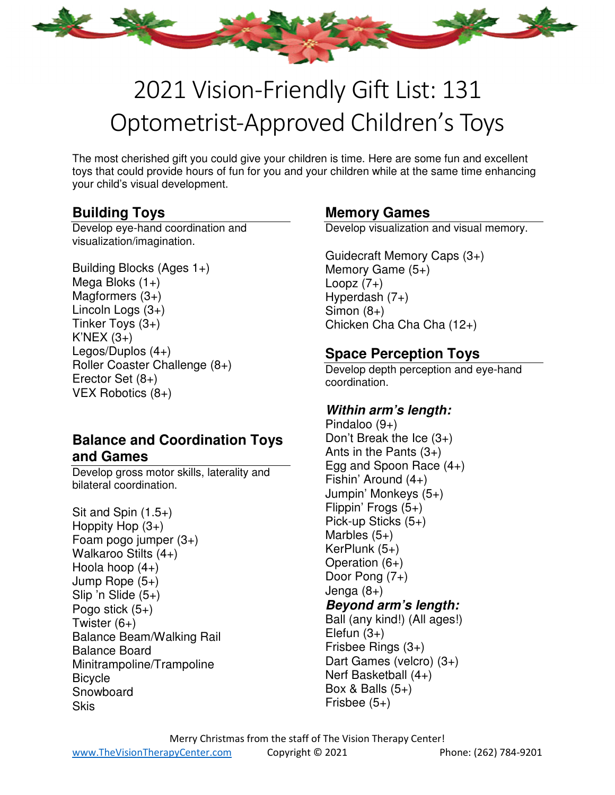

# 2021 Vision-Friendly Gift List: 131 Optometrist-Approved Children's Toys

The most cherished gift you could give your children is time. Here are some fun and excellent toys that could provide hours of fun for you and your children while at the same time enhancing your child's visual development.

#### **Building Toys**

Develop eye-hand coordination and visualization/imagination.

Building Blocks (Ages 1+) Mega Bloks  $(1+)$ Magformers (3+) Lincoln Logs (3+) Tinker Toys (3+)  $K'NEX(3+)$ Legos/Duplos (4+) Roller Coaster Challenge (8+) Erector Set (8+) VEX Robotics (8+)

## **Balance and Coordination Toys and Games**

Develop gross motor skills, laterality and bilateral coordination.

Sit and Spin  $(1.5+)$ Hoppity Hop (3+) Foam pogo jumper (3+) Walkaroo Stilts (4+) Hoola hoop (4+) Jump Rope (5+) Slip 'n Slide (5+) Pogo stick (5+) Twister  $(6+)$ Balance Beam/Walking Rail Balance Board Minitrampoline/Trampoline Bicycle Snowboard **Skis** 

## **Memory Games**

Develop visualization and visual memory.

Guidecraft Memory Caps (3+) Memory Game (5+) Loopz  $(7+)$ Hyperdash (7+) Simon (8+) Chicken Cha Cha Cha (12+)

# **Space Perception Toys**

Develop depth perception and eye-hand coordination.

## **Within arm's length:**

Pindaloo (9+) Don't Break the Ice (3+) Ants in the Pants (3+) Egg and Spoon Race (4+) Fishin' Around (4+) Jumpin' Monkeys (5+) Flippin' Frogs (5+) Pick-up Sticks (5+) Marbles (5+) KerPlunk (5+) Operation (6+) Door Pong (7+) Jenga (8+) **Beyond arm's length:** Ball (any kind!) (All ages!) Elefun  $(3+)$ Frisbee Rings (3+) Dart Games (velcro) (3+) Nerf Basketball (4+) Box & Balls  $(5+)$ Frisbee (5+)